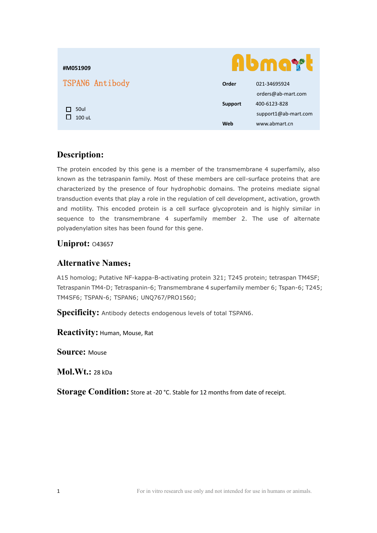| #M051909        | Abmar          |                      |
|-----------------|----------------|----------------------|
| TSPAN6 Antibody | Order          | 021-34695924         |
| 50ul<br>100 uL  |                | orders@ab-mart.com   |
|                 | <b>Support</b> | 400-6123-828         |
|                 |                | support1@ab-mart.com |
|                 | Web            | www.abmart.cn        |

# **Description:**

The protein encoded by this gene is a member of the transmembrane 4 superfamily, also known as the tetraspanin family. Most of these members are cell-surface proteins that are characterized by the presence of four hydrophobic domains. The proteins mediate signal transduction events that play a role in the regulation of cell development, activation, growth and motility. This encoded protein is a cell surface glycoprotein and is highly similar in sequence to the transmembrane 4 superfamily member 2. The use of alternate polyadenylation sites has been found for this gene.

#### **Uniprot:** O43657

### **Alternative Names**:

A15 homolog; Putative NF-kappa-B-activating protein 321; T245 protein; tetraspan TM4SF; Tetraspanin TM4-D; Tetraspanin-6; Transmembrane 4 superfamily member 6; Tspan-6; T245; TM4SF6; TSPAN-6; TSPAN6; UNQ767/PRO1560;

**Specificity:** Antibody detects endogenous levels of total TSPAN6.

**Reactivity:** Human, Mouse, Rat

**Source:** Mouse

**Mol.Wt.:** 28 kDa

**Storage Condition:** Store at -20 °C. Stable for 12 months from date of receipt.